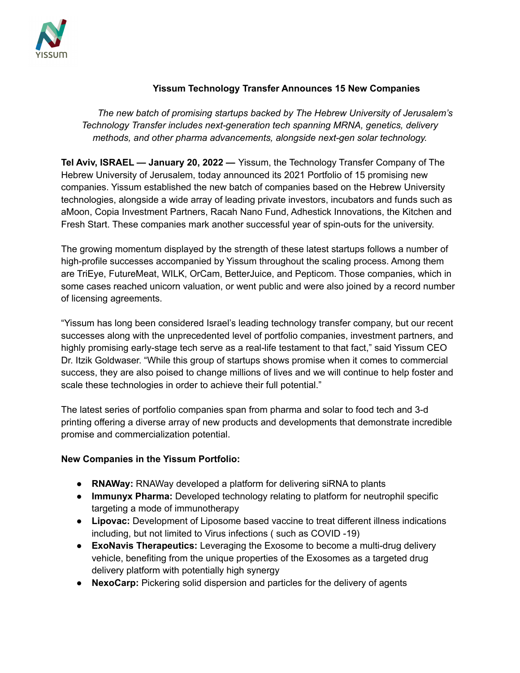

## **Yissum Technology Transfer Announces 15 New Companies**

*The new batch of promising startups backed by The Hebrew University of Jerusalem's Technology Transfer includes next-generation tech spanning MRNA, genetics, delivery methods, and other pharma advancements, alongside next-gen solar technology.*

**Tel Aviv, ISRAEL — January 20, 2022 —** Yissum, the Technology Transfer Company of The Hebrew University of Jerusalem, today announced its 2021 Portfolio of 15 promising new companies. Yissum established the new batch of companies based on the Hebrew University technologies, alongside a wide array of leading private investors, incubators and funds such as aMoon, Copia Investment Partners, Racah Nano Fund, Adhestick Innovations, the Kitchen and Fresh Start. These companies mark another successful year of spin-outs for the university.

The growing momentum displayed by the strength of these latest startups follows a number of high-profile successes accompanied by Yissum throughout the scaling process. Among them are TriEye, FutureMeat, WILK, OrCam, BetterJuice, and Pepticom. Those companies, which in some cases reached unicorn valuation, or went public and were also joined by a record number of licensing agreements.

"Yissum has long been considered Israel's leading technology transfer company, but our recent successes along with the unprecedented level of portfolio companies, investment partners, and highly promising early-stage tech serve as a real-life testament to that fact," said Yissum CEO Dr. Itzik Goldwaser. "While this group of startups shows promise when it comes to commercial success, they are also poised to change millions of lives and we will continue to help foster and scale these technologies in order to achieve their full potential."

The latest series of portfolio companies span from pharma and solar to food tech and 3-d printing offering a diverse array of new products and developments that demonstrate incredible promise and commercialization potential.

## **New Companies in the Yissum Portfolio:**

- **● RNAWay:** RNAWay developed a platform for delivering siRNA to plants
- **● Immunyx Pharma:** Developed technology relating to platform for neutrophil specific targeting a mode of immunotherapy
- **● Lipovac:** Development of Liposome based vaccine to treat different illness indications including, but not limited to Virus infections ( such as COVID -19)
- **● ExoNavis Therapeutics:** Leveraging the Exosome to become a multi-drug delivery vehicle, benefiting from the unique properties of the Exosomes as a targeted drug delivery platform with potentially high synergy
- **● NexoCarp:** Pickering solid dispersion and particles for the delivery of agents